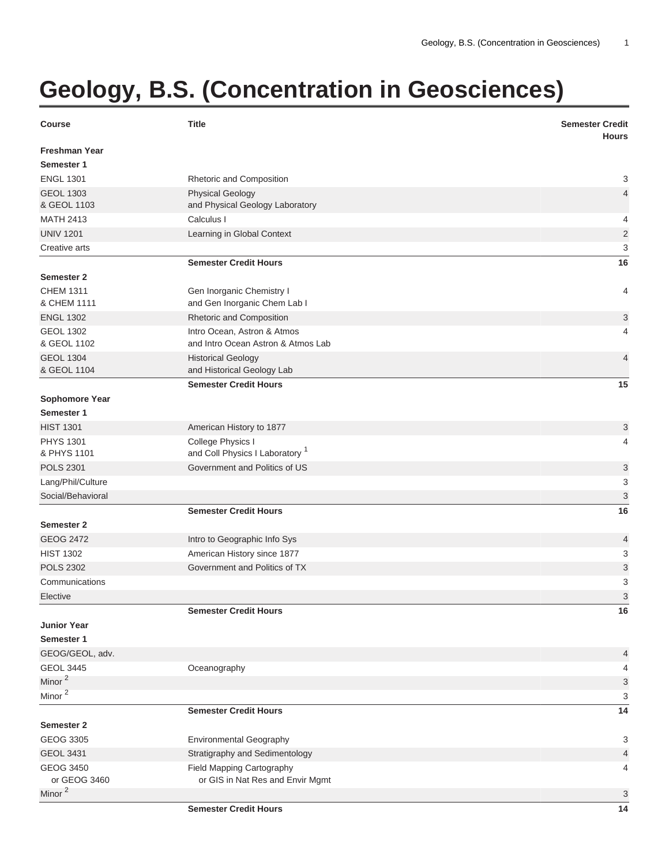## **Geology, B.S. (Concentration in Geosciences)**

| <b>Course</b>        | <b>Title</b>                               | <b>Semester Credit</b><br><b>Hours</b> |
|----------------------|--------------------------------------------|----------------------------------------|
| <b>Freshman Year</b> |                                            |                                        |
| Semester 1           |                                            |                                        |
| <b>ENGL 1301</b>     | Rhetoric and Composition                   | 3                                      |
| <b>GEOL 1303</b>     | <b>Physical Geology</b>                    | 4                                      |
| & GEOL 1103          | and Physical Geology Laboratory            |                                        |
| <b>MATH 2413</b>     | Calculus I                                 | 4                                      |
| <b>UNIV 1201</b>     | Learning in Global Context                 | $\overline{2}$                         |
| Creative arts        |                                            | 3                                      |
|                      | <b>Semester Credit Hours</b>               | 16                                     |
| Semester 2           |                                            |                                        |
| <b>CHEM 1311</b>     | Gen Inorganic Chemistry I                  | 4                                      |
| & CHEM 1111          | and Gen Inorganic Chem Lab I               |                                        |
| <b>ENGL 1302</b>     | Rhetoric and Composition                   | 3                                      |
| <b>GEOL 1302</b>     | Intro Ocean, Astron & Atmos                | 4                                      |
| & GEOL 1102          | and Intro Ocean Astron & Atmos Lab         |                                        |
| <b>GEOL 1304</b>     | <b>Historical Geology</b>                  | 4                                      |
| & GEOL 1104          | and Historical Geology Lab                 |                                        |
|                      | <b>Semester Credit Hours</b>               | 15                                     |
| Sophomore Year       |                                            |                                        |
| Semester 1           |                                            |                                        |
| <b>HIST 1301</b>     | American History to 1877                   | 3                                      |
| <b>PHYS 1301</b>     | College Physics I                          | 4                                      |
| & PHYS 1101          | and Coll Physics I Laboratory <sup>1</sup> |                                        |
| <b>POLS 2301</b>     | Government and Politics of US              | 3                                      |
| Lang/Phil/Culture    |                                            | 3                                      |
| Social/Behavioral    |                                            | 3                                      |
|                      | <b>Semester Credit Hours</b>               | 16                                     |
| Semester 2           |                                            |                                        |
| <b>GEOG 2472</b>     | Intro to Geographic Info Sys               | 4                                      |
| <b>HIST 1302</b>     | American History since 1877                | 3                                      |
| <b>POLS 2302</b>     | Government and Politics of TX              | 3                                      |
| Communications       |                                            | 3                                      |
| Elective             |                                            | 3                                      |
|                      | <b>Semester Credit Hours</b>               | 16                                     |
| <b>Junior Year</b>   |                                            |                                        |
| Semester 1           |                                            |                                        |
| GEOG/GEOL, adv.      |                                            | 4                                      |
| <b>GEOL 3445</b>     | Oceanography                               | 4                                      |
| Minor <sup>2</sup>   |                                            | 3                                      |
| Minor <sup>2</sup>   |                                            | 3                                      |
|                      | <b>Semester Credit Hours</b>               | 14                                     |
| <b>Semester 2</b>    |                                            |                                        |
| GEOG 3305            | <b>Environmental Geography</b>             | 3                                      |
| <b>GEOL 3431</b>     | Stratigraphy and Sedimentology             | 4                                      |
| <b>GEOG 3450</b>     | Field Mapping Cartography                  | 4                                      |
| or GEOG 3460         | or GIS in Nat Res and Envir Mgmt           |                                        |
| Minor <sup>2</sup>   |                                            | 3                                      |
|                      | <b>Semester Credit Hours</b>               | 14                                     |